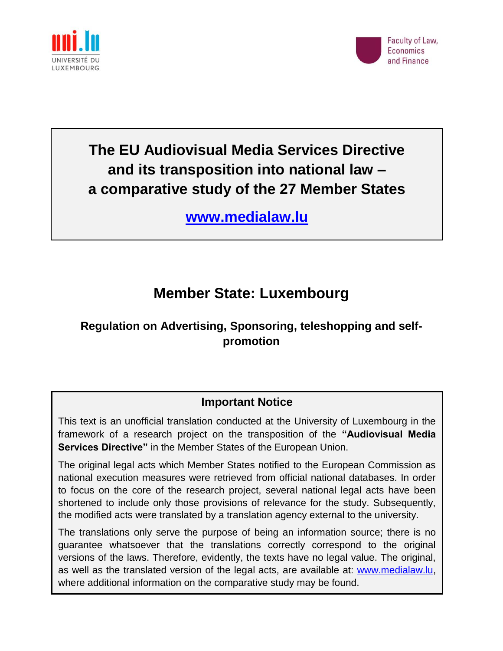



# **The EU Audiovisual Media Services Directive and its transposition into national law – a comparative study of the 27 Member States**

**[www.medialaw.lu](http://www.medialaw.lu/)**

# **Member State: Luxembourg**

## **Regulation on Advertising, Sponsoring, teleshopping and selfpromotion**

### **Important Notice**

This text is an unofficial translation conducted at the University of Luxembourg in the framework of a research project on the transposition of the **"Audiovisual Media Services Directive"** in the Member States of the European Union.

The original legal acts which Member States notified to the European Commission as national execution measures were retrieved from official national databases. In order to focus on the core of the research project, several national legal acts have been shortened to include only those provisions of relevance for the study. Subsequently, the modified acts were translated by a translation agency external to the university.

The translations only serve the purpose of being an information source; there is no guarantee whatsoever that the translations correctly correspond to the original versions of the laws. Therefore, evidently, the texts have no legal value. The original, as well as the translated version of the legal acts, are available at: [www.medialaw.lu,](http://www.medialaw.lu/) where additional information on the comparative study may be found.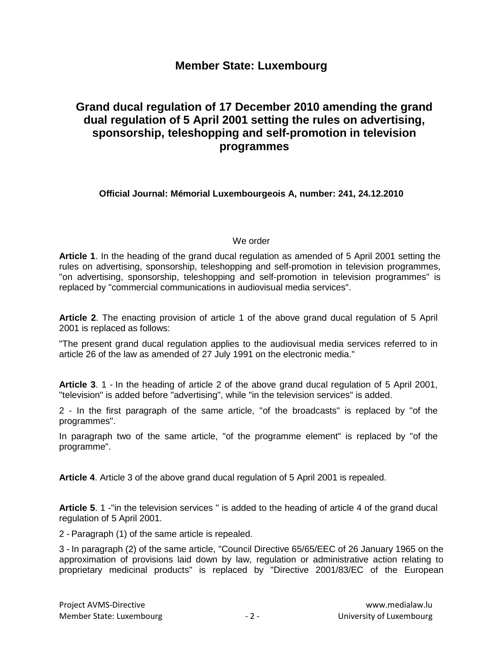#### **Member State: Luxembourg**

### **Grand ducal regulation of 17 December 2010 amending the grand dual regulation of 5 April 2001 setting the rules on advertising, sponsorship, teleshopping and self-promotion in television programmes**

**Official Journal: Mémorial Luxembourgeois A, number: 241, 24.12.2010**

#### We order

**Article 1**. In the heading of the grand ducal regulation as amended of 5 April 2001 setting the rules on advertising, sponsorship, teleshopping and self-promotion in television programmes, "on advertising, sponsorship, teleshopping and self-promotion in television programmes" is replaced by "commercial communications in audiovisual media services".

**Article 2**. The enacting provision of article 1 of the above grand ducal regulation of 5 April 2001 is replaced as follows:

"The present grand ducal regulation applies to the audiovisual media services referred to in article 26 of the law as amended of 27 July 1991 on the electronic media."

**Article 3**. 1 - In the heading of article 2 of the above grand ducal regulation of 5 April 2001, "television" is added before "advertising", while "in the television services" is added.

2 - In the first paragraph of the same article, "of the broadcasts" is replaced by "of the programmes".

In paragraph two of the same article, "of the programme element" is replaced by "of the programme".

**Article 4**. Article 3 of the above grand ducal regulation of 5 April 2001 is repealed.

**Article 5**. 1 -"in the television services " is added to the heading of article 4 of the grand ducal regulation of 5 April 2001.

2 - Paragraph (1) of the same article is repealed.

3 - In paragraph (2) of the same article, "Council Directive 65/65/EEC of 26 January 1965 on the approximation of provisions laid down by law, regulation or administrative action relating to proprietary medicinal products" is replaced by "Directive 2001/83/EC of the European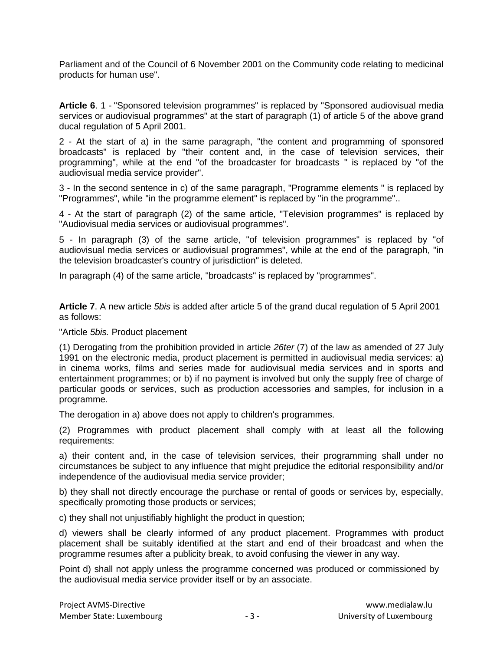Parliament and of the Council of 6 November 2001 on the Community code relating to medicinal products for human use".

**Article 6**. 1 - "Sponsored television programmes" is replaced by "Sponsored audiovisual media services or audiovisual programmes" at the start of paragraph (1) of article 5 of the above grand ducal regulation of 5 April 2001.

2 - At the start of a) in the same paragraph, "the content and programming of sponsored broadcasts" is replaced by "their content and, in the case of television services, their programming", while at the end "of the broadcaster for broadcasts " is replaced by "of the audiovisual media service provider".

3 - In the second sentence in c) of the same paragraph, "Programme elements " is replaced by "Programmes", while "in the programme element" is replaced by "in the programme"..

4 - At the start of paragraph (2) of the same article, "Television programmes" is replaced by "Audiovisual media services or audiovisual programmes".

5 - In paragraph (3) of the same article, "of television programmes" is replaced by "of audiovisual media services or audiovisual programmes", while at the end of the paragraph, "in the television broadcaster's country of jurisdiction" is deleted.

In paragraph (4) of the same article, "broadcasts" is replaced by "programmes".

**Article 7**. A new article *5bis* is added after article 5 of the grand ducal regulation of 5 April 2001 as follows:

"Article *5bis.* Product placement

(1) Derogating from the prohibition provided in article *26ter* (7) of the law as amended of 27 July 1991 on the electronic media, product placement is permitted in audiovisual media services: a) in cinema works, films and series made for audiovisual media services and in sports and entertainment programmes; or b) if no payment is involved but only the supply free of charge of particular goods or services, such as production accessories and samples, for inclusion in a programme.

The derogation in a) above does not apply to children's programmes.

(2) Programmes with product placement shall comply with at least all the following requirements:

a) their content and, in the case of television services, their programming shall under no circumstances be subject to any influence that might prejudice the editorial responsibility and/or independence of the audiovisual media service provider;

b) they shall not directly encourage the purchase or rental of goods or services by, especially, specifically promoting those products or services;

c) they shall not unjustifiably highlight the product in question;

d) viewers shall be clearly informed of any product placement. Programmes with product placement shall be suitably identified at the start and end of their broadcast and when the programme resumes after a publicity break, to avoid confusing the viewer in any way.

Point d) shall not apply unless the programme concerned was produced or commissioned by the audiovisual media service provider itself or by an associate.